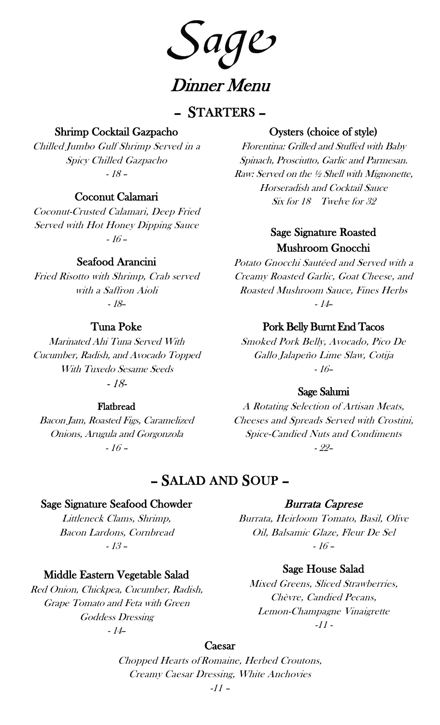age Dinner Menu

## – STARTERS –

## Shrimp Cocktail Gazpacho

Chilled Jumbo Gulf Shrimp Served in a Spicy Chilled Gazpacho - 18 –

## Coconut Calamari

Coconut-Crusted Calamari, Deep Fried Served with Hot Honey Dipping Sauce - 16 –

## Seafood Arancini

Fried Risotto with Shrimp, Crab served with a Saffron Aioli - 18–

## Tuna Poke

Marinated Ahi Tuna Served With Cucumber, Radish, and Avocado Topped With Tuxedo Sesame Seeds - 18-

#### Flatbread

Bacon Jam, Roasted Figs, Caramelized Onions, Arugula and Gorgonzola - 16 –

## Oysters (choice of style)

Florentina: Grilled and Stuffed with Baby Spinach, Prosciutto, Garlic and Parmesan. Raw: Served on the ½ Shell with Mignonette, Horseradish and Cocktail Sauce Six for 18 Twelve for 32

## Sage Signature Roasted Mushroom Gnocchi

Potato Gnocchi Sautéed and Served with a Creamy Roasted Garlic, Goat Cheese, and Roasted Mushroom Sauce, Fines Herbs - 14–

### Pork Belly Burnt End Tacos

Smoked Pork Belly, Avocado, Pico De Gallo Jalapeño Lime Slaw, Cotija - 16–

## Sage Salumi

A Rotating Selection of Artisan Meats, Cheeses and Spreads Served with Crostini, Spice-Candied Nuts and Condiments - 22–

# – SALAD AND SOUP –

### Sage Signature Seafood Chowder

Littleneck Clams, Shrimp, Bacon Lardons, Cornbread - 13 –

## Middle Eastern Vegetable Salad

Red Onion, Chickpea, Cucumber, Radish, Grape Tomato and Feta with Green Goddess Dressing - 14–

## Burrata Caprese

Burrata, Heirloom Tomato, Basil, Olive Oil, Balsamic Glaze, Fleur De Sel - 16 –

## Sage House Salad

Mixed Greens, Sliced Strawberries, Chèvre, Candied Pecans, Lemon-Champagne Vinaigrette  $-11-$ 

#### Caesar

Chopped Hearts of Romaine, Herbed Croutons, Creamy Caesar Dressing, White Anchovies